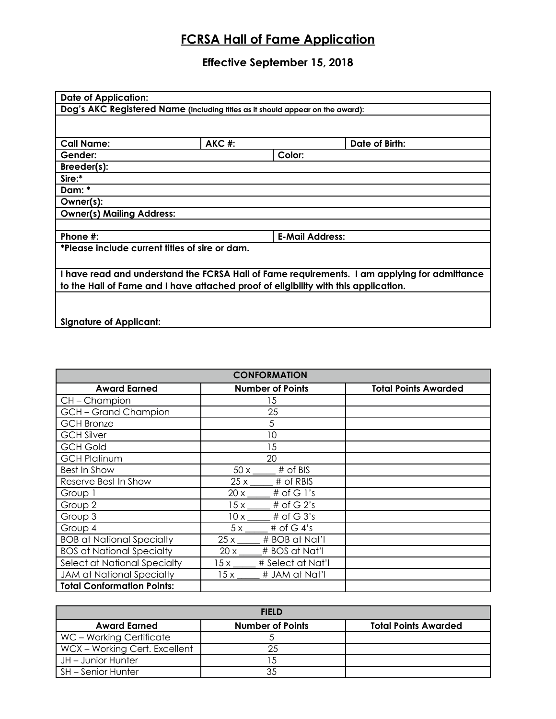## **FCRSA Hall of Fame Application**

## **Effective September 15, 2018**

| <b>Date of Application:</b>                                                                  |                        |        |                |
|----------------------------------------------------------------------------------------------|------------------------|--------|----------------|
| Dog's AKC Registered Name (including titles as it should appear on the award):               |                        |        |                |
|                                                                                              |                        |        |                |
|                                                                                              |                        |        |                |
| <b>Call Name:</b>                                                                            | $AKC$ #:               |        | Date of Birth: |
| Gender:                                                                                      |                        | Color: |                |
| Breeder(s):                                                                                  |                        |        |                |
| Sire:*                                                                                       |                        |        |                |
| Dam: *                                                                                       |                        |        |                |
| Owner(s):                                                                                    |                        |        |                |
| <b>Owner(s) Mailing Address:</b>                                                             |                        |        |                |
|                                                                                              |                        |        |                |
| Phone $#$ :                                                                                  | <b>E-Mail Address:</b> |        |                |
| *Please include current titles of sire or dam.                                               |                        |        |                |
|                                                                                              |                        |        |                |
| I have read and understand the FCRSA Hall of Fame requirements. I am applying for admittance |                        |        |                |
| to the Hall of Fame and I have attached proof of eligibility with this application.          |                        |        |                |
|                                                                                              |                        |        |                |
|                                                                                              |                        |        |                |
| <b>Signature of Applicant:</b>                                                               |                        |        |                |

| <b>CONFORMATION</b>               |                                    |                             |  |
|-----------------------------------|------------------------------------|-----------------------------|--|
| <b>Award Earned</b>               | <b>Number of Points</b>            | <b>Total Points Awarded</b> |  |
| CH-Champion                       | 15                                 |                             |  |
| GCH - Grand Champion              | 25                                 |                             |  |
| <b>GCH Bronze</b>                 | 5                                  |                             |  |
| <b>GCH Silver</b>                 | 10                                 |                             |  |
| <b>GCH Gold</b>                   | 15                                 |                             |  |
| <b>GCH Platinum</b>               | 20                                 |                             |  |
| <b>Best In Show</b>               | # of BIS<br>$50x$ <sub>——</sub>    |                             |  |
| Reserve Best In Show              | $25x$ $\qquad$<br># of RBIS        |                             |  |
| Group 1                           | # of $G$ 1's                       |                             |  |
| Group 2                           | # of $G$ 2's<br>15x                |                             |  |
| Group 3                           | # of $G$ 3's<br>$10x$ <sub>—</sub> |                             |  |
| Group 4                           | $5x$ $-$<br># of $G$ 4's           |                             |  |
| <b>BOB at National Specialty</b>  | # BOB at Nat'l<br>25x              |                             |  |
| <b>BOS at National Specialty</b>  | # BOS at Nat'l<br>$20x$ —          |                             |  |
| Select at National Specialty      | # Select at Nat'l<br>15x           |                             |  |
| JAM at National Specialty         | # JAM at Nat'l<br>15x              |                             |  |
| <b>Total Conformation Points:</b> |                                    |                             |  |

| <b>FIELD</b>                  |                         |                             |  |
|-------------------------------|-------------------------|-----------------------------|--|
| <b>Award Earned</b>           | <b>Number of Points</b> | <b>Total Points Awarded</b> |  |
| WC - Working Certificate      |                         |                             |  |
| WCX - Working Cert. Excellent | 25                      |                             |  |
| JH - Junior Hunter            |                         |                             |  |
| <b>SH-Senior Hunter</b>       |                         |                             |  |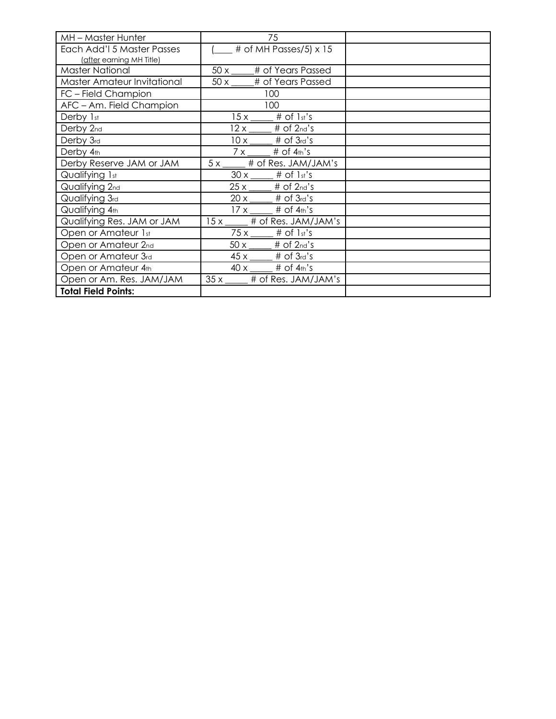| MH – Master Hunter          | 75                                   |  |
|-----------------------------|--------------------------------------|--|
| Each Add'l 5 Master Passes  | $\frac{1}{2}$ # of MH Passes/5) x 15 |  |
| (after earning MH Title)    |                                      |  |
| <b>Master National</b>      | 50 x ____# of Years Passed           |  |
| Master Amateur Invitational | 50 x ____# of Years Passed           |  |
| FC - Field Champion         | 100                                  |  |
| AFC - Am. Field Champion    | 100                                  |  |
| Derby 1st                   | $15x$ # of 1st's                     |  |
| Derby 2nd                   | $12x$ # of $2nd's$                   |  |
| Derby 3rd                   | $10 x \_ # of 3rd's$                 |  |
| Derby 4th                   | # of $4th$ 's<br>$7x$ —              |  |
| Derby Reserve JAM or JAM    | 5 x # of Res. JAM/JAM's              |  |
| Qualifying 1st              | $30x$ # of 1st's                     |  |
| Qualifying 2nd              | $25x$ # of $2nd's$                   |  |
| Qualifying 3rd              | $20 x$ # of $3rd's$                  |  |
| Qualifying 4th              | $17x$ # of 4th's                     |  |
| Qualifying Res. JAM or JAM  | $15x$ $+$ of Res. JAM/JAM's          |  |
| Open or Amateur 1st         | $75x$ # of 1st's                     |  |
| Open or Amateur 2nd         | $50x$ # of $2nd's$                   |  |
| Open or Amateur 3rd         | $45x$ # of $3rd's$                   |  |
| Open or Amateur 4th         | $40 x$ # of $4th$ 's                 |  |
| Open or Am. Res. JAM/JAM    | # of Res. JAM/JAM's<br>$35x$ $\_\_$  |  |
| <b>Total Field Points:</b>  |                                      |  |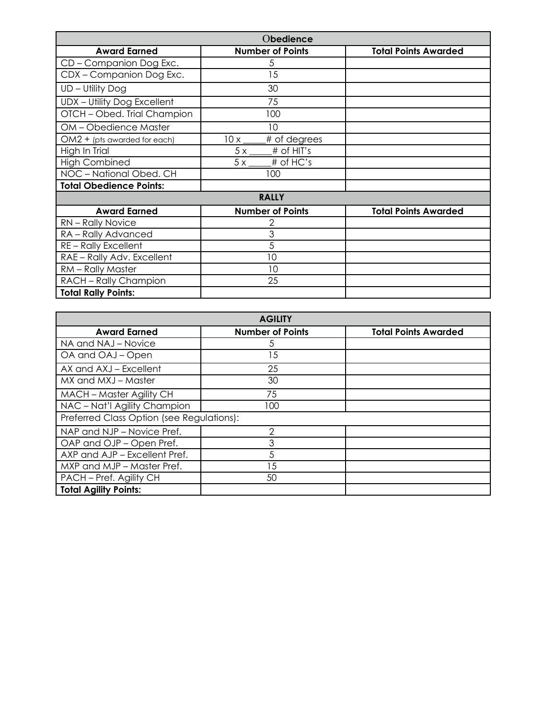| Obedience                      |                                    |                             |  |
|--------------------------------|------------------------------------|-----------------------------|--|
| <b>Award Earned</b>            | <b>Number of Points</b>            | <b>Total Points Awarded</b> |  |
| CD-Companion Dog Exc.          | 5                                  |                             |  |
| CDX - Companion Dog Exc.       | 15                                 |                             |  |
| UD - Utility Dog               | 30                                 |                             |  |
| UDX - Utility Dog Excellent    | 75                                 |                             |  |
| OTCH - Obed. Trial Champion    | 100                                |                             |  |
| OM-Obedience Master            | 10                                 |                             |  |
| $OM2 + (pts awarded for each)$ | $10x$ <sub>—</sub><br># of degrees |                             |  |
| High In Trial                  | # of HIT's<br>5x                   |                             |  |
| <b>High Combined</b>           | # of HC's<br>5x                    |                             |  |
| NOC - National Obed. CH        | 100                                |                             |  |
| <b>Total Obedience Points:</b> |                                    |                             |  |
| <b>RALLY</b>                   |                                    |                             |  |
| <b>Award Earned</b>            | <b>Number of Points</b>            | <b>Total Points Awarded</b> |  |
| RN - Rally Novice              | $\overline{2}$                     |                             |  |
| RA - Rally Advanced            | 3                                  |                             |  |
| RE-Rally Excellent             | 5                                  |                             |  |
| RAE - Rally Adv. Excellent     | 10                                 |                             |  |
| RM - Rally Master              | 10                                 |                             |  |
| RACH - Rally Champion          | 25                                 |                             |  |
| <b>Total Rally Points:</b>     |                                    |                             |  |

| <b>AGILITY</b>                            |                         |                             |  |
|-------------------------------------------|-------------------------|-----------------------------|--|
| <b>Award Earned</b>                       | <b>Number of Points</b> | <b>Total Points Awarded</b> |  |
| NA and NAJ - Novice                       | 5                       |                             |  |
| OA and OAJ - Open                         | 15                      |                             |  |
| AX and AXJ - Excellent                    | 25                      |                             |  |
| MX and MXJ - Master                       | 30                      |                             |  |
| MACH - Master Agility CH                  | 75                      |                             |  |
| NAC - Nat'l Agility Champion              | 100                     |                             |  |
| Preferred Class Option (see Regulations): |                         |                             |  |
| NAP and NJP - Novice Pref.                | 2                       |                             |  |
| OAP and OJP - Open Pref.                  | 3                       |                             |  |
| AXP and AJP - Excellent Pref.             | 5                       |                             |  |
| MXP and MJP - Master Pref.                | 15                      |                             |  |
| PACH - Pref. Agility CH                   | 50                      |                             |  |
| <b>Total Agility Points:</b>              |                         |                             |  |